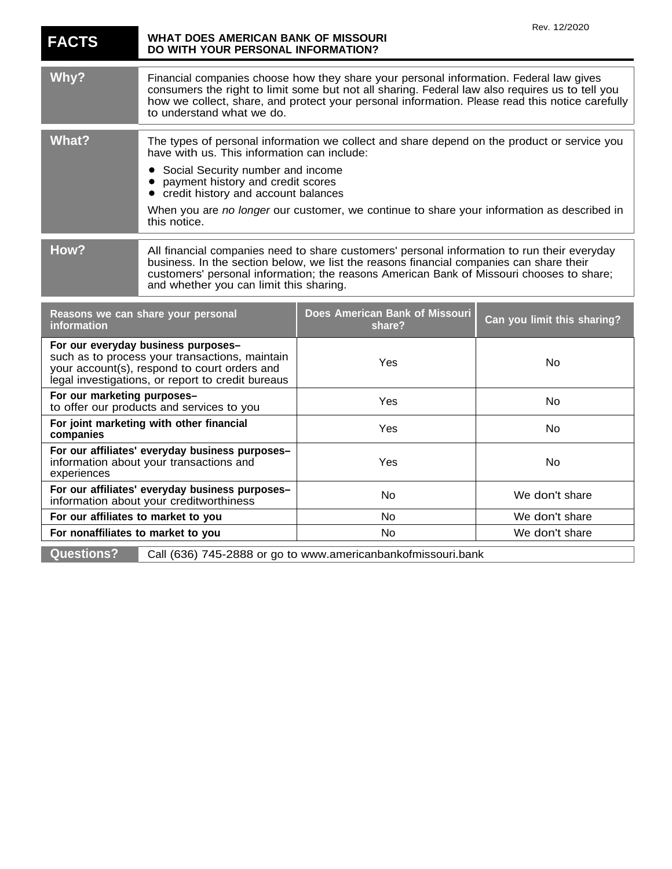| <b>FACTS</b>                                                                                                                                                                               | WHAT DOES AMERICAN BANK OF MISSOURI<br>DO WITH YOUR PERSONAL INFORMATION?                                                                                                                                                                                                                                                     |                                                                                            | Rev. 12/2020                |
|--------------------------------------------------------------------------------------------------------------------------------------------------------------------------------------------|-------------------------------------------------------------------------------------------------------------------------------------------------------------------------------------------------------------------------------------------------------------------------------------------------------------------------------|--------------------------------------------------------------------------------------------|-----------------------------|
| Why?                                                                                                                                                                                       | Financial companies choose how they share your personal information. Federal law gives<br>consumers the right to limit some but not all sharing. Federal law also requires us to tell you<br>how we collect, share, and protect your personal information. Please read this notice carefully<br>to understand what we do.     |                                                                                            |                             |
| <b>What?</b>                                                                                                                                                                               | The types of personal information we collect and share depend on the product or service you<br>have with us. This information can include:                                                                                                                                                                                    |                                                                                            |                             |
|                                                                                                                                                                                            | Social Security number and income<br>payment history and credit scores<br>credit history and account balances<br>$\bullet$                                                                                                                                                                                                    |                                                                                            |                             |
|                                                                                                                                                                                            | this notice.                                                                                                                                                                                                                                                                                                                  | When you are no longer our customer, we continue to share your information as described in |                             |
| How?                                                                                                                                                                                       | All financial companies need to share customers' personal information to run their everyday<br>business. In the section below, we list the reasons financial companies can share their<br>customers' personal information; the reasons American Bank of Missouri chooses to share;<br>and whether you can limit this sharing. |                                                                                            |                             |
| Reasons we can share your personal<br>information                                                                                                                                          |                                                                                                                                                                                                                                                                                                                               | Does American Bank of Missouri<br>share?                                                   | Can you limit this sharing? |
| For our everyday business purposes-<br>such as to process your transactions, maintain<br>your account(s), respond to court orders and<br>legal investigations, or report to credit bureaus |                                                                                                                                                                                                                                                                                                                               | Yes                                                                                        | <b>No</b>                   |
| For our marketing purposes-<br>to offer our products and services to you                                                                                                                   |                                                                                                                                                                                                                                                                                                                               | Yes                                                                                        | No                          |
| For joint marketing with other financial<br>companies                                                                                                                                      |                                                                                                                                                                                                                                                                                                                               | Yes                                                                                        | No                          |
| For our affiliates' everyday business purposes-<br>information about your transactions and<br>experiences                                                                                  |                                                                                                                                                                                                                                                                                                                               | Yes                                                                                        | No                          |
| For our affiliates' everyday business purposes-<br>information about your creditworthiness                                                                                                 |                                                                                                                                                                                                                                                                                                                               | <b>No</b>                                                                                  | We don't share              |
| For our affiliates to market to you                                                                                                                                                        |                                                                                                                                                                                                                                                                                                                               | <b>No</b>                                                                                  | We don't share              |
| For nonaffiliates to market to you                                                                                                                                                         |                                                                                                                                                                                                                                                                                                                               | No                                                                                         | We don't share              |
| <b>Questions?</b>                                                                                                                                                                          |                                                                                                                                                                                                                                                                                                                               | Call (636) 745-2888 or go to www.americanbankofmissouri.bank                               |                             |